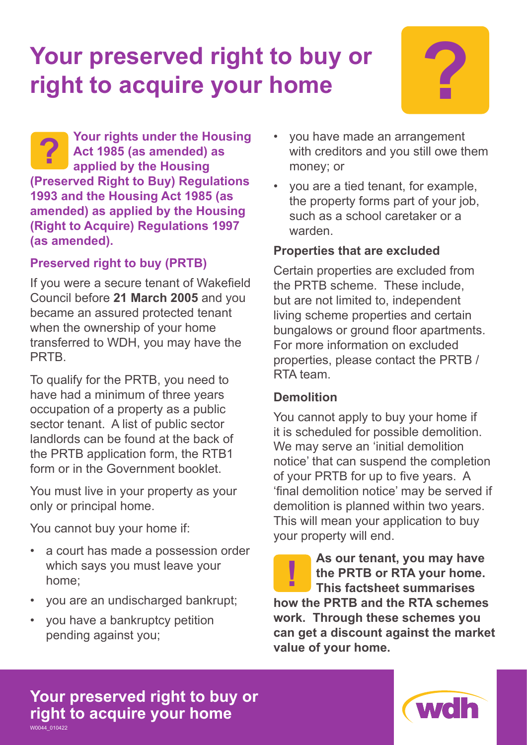# **Your preserved right to buy or ?**<br> **P** right to acquire your home



**Your rights under the Housing Act 1985 (as amended) as applied by the Housing (Preserved Right to Buy) Regulations 1993 and the Housing Act 1985 (as amended) as applied by the Housing (Right to Acquire) Regulations 1997 (as amended). ?**

# **Preserved right to buy (PRTB)**

If you were a secure tenant of Wakefield Council before **21 March 2005** and you became an assured protected tenant when the ownership of your home transferred to WDH, you may have the PRTB.

To qualify for the PRTB, you need to have had a minimum of three years occupation of a property as a public sector tenant. A list of public sector landlords can be found at the back of the PRTB application form, the RTB1 form or in the Government booklet.

You must live in your property as your only or principal home.

You cannot buy your home if:

- a court has made a possession order which says you must leave your home;
- you are an undischarged bankrupt;
- you have a bankruptcy petition pending against you;
- you have made an arrangement with creditors and you still owe them money; or
- you are a tied tenant, for example, the property forms part of your job, such as a school caretaker or a warden.

# **Properties that are excluded**

Certain properties are excluded from the PRTB scheme. These include, but are not limited to, independent living scheme properties and certain bungalows or ground floor apartments. For more information on excluded properties, please contact the PRTB / RTA team.

# **Demolition**

You cannot apply to buy your home if it is scheduled for possible demolition. We may serve an 'initial demolition notice' that can suspend the completion of your PRTB for up to five years. A 'final demolition notice' may be served if demolition is planned within two years. This will mean your application to buy your property will end.

**As our tenant, you may have the PRTB or RTA your home. This factsheet summarises how the PRTB and the RTA schemes work. Through these schemes you can get a discount against the market value of your home. !**

#### **Your preserved right to buy or right to acquire your home** W0044\_010422

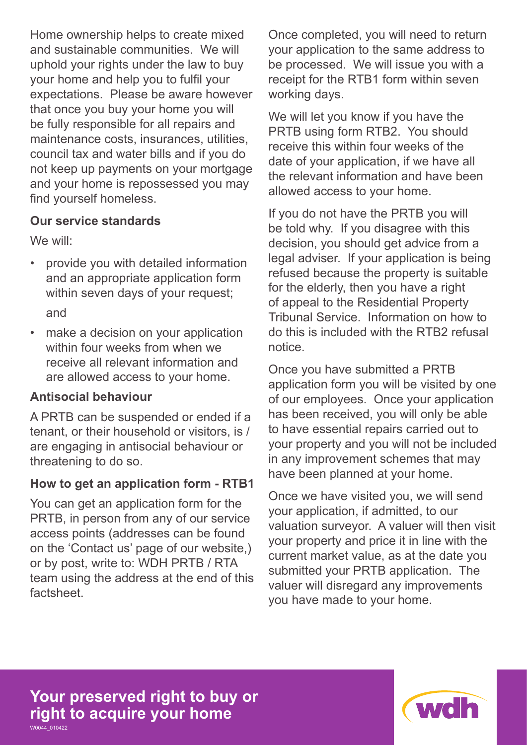Home ownership helps to create mixed and sustainable communities. We will uphold your rights under the law to buy your home and help you to fulfil your expectations. Please be aware however that once you buy your home you will be fully responsible for all repairs and maintenance costs, insurances, utilities, council tax and water bills and if you do not keep up payments on your mortgage and your home is repossessed you may find yourself homeless.

#### **Our service standards**

We will:

- provide you with detailed information and an appropriate application form within seven days of your request; and
- make a decision on your application within four weeks from when we receive all relevant information and are allowed access to your home.

#### **Antisocial behaviour**

A PRTB can be suspended or ended if a tenant, or their household or visitors, is / are engaging in antisocial behaviour or threatening to do so.

#### **How to get an application form - RTB1**

You can get an application form for the PRTB, in person from any of our service access points (addresses can be found on the 'Contact us' page of our website,) or by post, write to: WDH PRTB / RTA team using the address at the end of this factsheet.

Once completed, you will need to return your application to the same address to be processed. We will issue you with a receipt for the RTB1 form within seven working days.

We will let you know if you have the PRTB using form RTB2. You should receive this within four weeks of the date of your application, if we have all the relevant information and have been allowed access to your home.

If you do not have the PRTB you will be told why. If you disagree with this decision, you should get advice from a legal adviser. If your application is being refused because the property is suitable for the elderly, then you have a right of appeal to the Residential Property Tribunal Service. Information on how to do this is included with the RTB2 refusal notice.

Once you have submitted a PRTB application form you will be visited by one of our employees. Once your application has been received, you will only be able to have essential repairs carried out to your property and you will not be included in any improvement schemes that may have been planned at your home.

Once we have visited you, we will send your application, if admitted, to our valuation surveyor. A valuer will then visit your property and price it in line with the current market value, as at the date you submitted your PRTB application. The valuer will disregard any improvements you have made to your home.

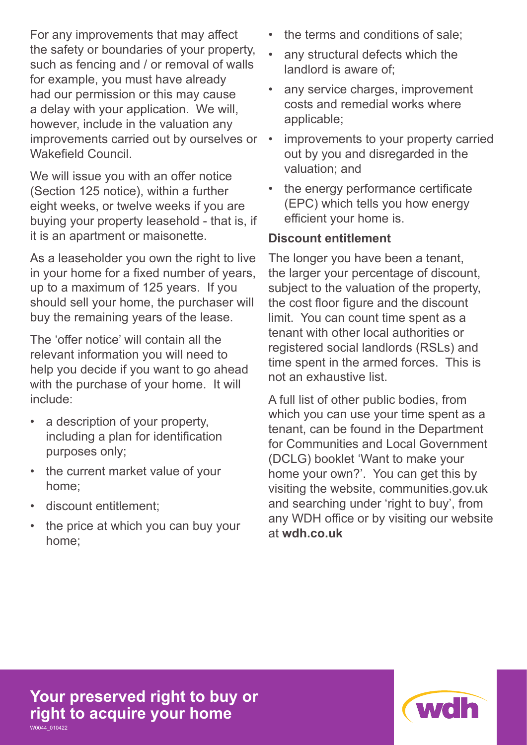For any improvements that may affect the safety or boundaries of your property, such as fencing and / or removal of walls for example, you must have already had our permission or this may cause a delay with your application. We will, however, include in the valuation any improvements carried out by ourselves or Wakefield Council.

We will issue you with an offer notice (Section 125 notice), within a further eight weeks, or twelve weeks if you are buying your property leasehold - that is, if it is an apartment or maisonette.

As a leaseholder you own the right to live in your home for a fixed number of years, up to a maximum of 125 years. If you should sell your home, the purchaser will buy the remaining years of the lease.

The 'offer notice' will contain all the relevant information you will need to help you decide if you want to go ahead with the purchase of your home. It will include:

- a description of your property, including a plan for identification purposes only;
- the current market value of your home;
- discount entitlement;
- the price at which you can buy your home;
- the terms and conditions of sale;
- any structural defects which the landlord is aware of;
- any service charges, improvement costs and remedial works where applicable;
- improvements to your property carried out by you and disregarded in the valuation; and
- the energy performance certificate (EPC) which tells you how energy efficient your home is.

# **Discount entitlement**

The longer you have been a tenant, the larger your percentage of discount, subject to the valuation of the property, the cost floor figure and the discount limit. You can count time spent as a tenant with other local authorities or registered social landlords (RSLs) and time spent in the armed forces. This is not an exhaustive list.

A full list of other public bodies, from which you can use your time spent as a tenant, can be found in the Department for Communities and Local Government (DCLG) booklet 'Want to make your home your own?'. You can get this by visiting the website, communities.gov.uk and searching under 'right to buy', from any WDH office or by visiting our website at **wdh.co.uk**

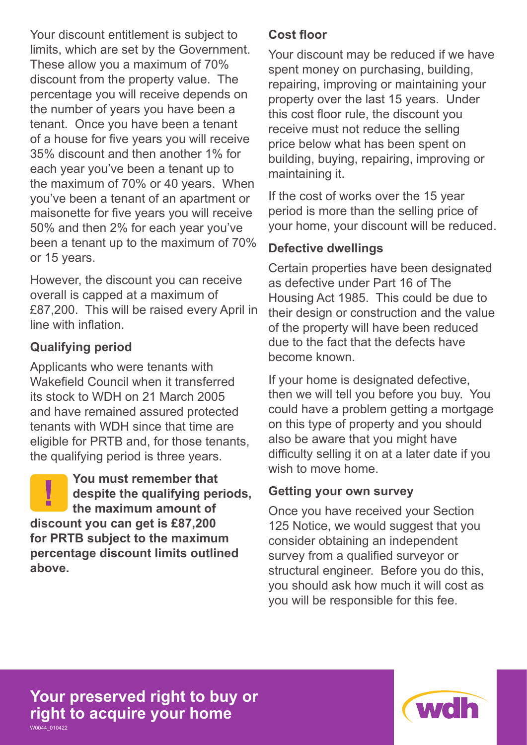Your discount entitlement is subject to limits, which are set by the Government. These allow you a maximum of 70% discount from the property value. The percentage you will receive depends on the number of years you have been a tenant. Once you have been a tenant of a house for five years you will receive 35% discount and then another 1% for each year you've been a tenant up to the maximum of 70% or 40 years. When you've been a tenant of an apartment or maisonette for five years you will receive 50% and then 2% for each year you've been a tenant up to the maximum of 70% or 15 years.

However, the discount you can receive overall is capped at a maximum of £87,200. This will be raised every April in line with inflation.

# **Qualifying period**

Applicants who were tenants with Wakefield Council when it transferred its stock to WDH on 21 March 2005 and have remained assured protected tenants with WDH since that time are eligible for PRTB and, for those tenants, the qualifying period is three years.

**You must remember that despite the qualifying periods, the maximum amount of discount you can get is £87,200 for PRTB subject to the maximum percentage discount limits outlined above. !**

## **Cost floor**

Your discount may be reduced if we have spent money on purchasing, building, repairing, improving or maintaining your property over the last 15 years. Under this cost floor rule, the discount you receive must not reduce the selling price below what has been spent on building, buying, repairing, improving or maintaining it.

If the cost of works over the 15 year period is more than the selling price of your home, your discount will be reduced.

## **Defective dwellings**

Certain properties have been designated as defective under Part 16 of The Housing Act 1985. This could be due to their design or construction and the value of the property will have been reduced due to the fact that the defects have become known.

If your home is designated defective, then we will tell you before you buy. You could have a problem getting a mortgage on this type of property and you should also be aware that you might have difficulty selling it on at a later date if you wish to move home.

# **Getting your own survey**

Once you have received your Section 125 Notice, we would suggest that you consider obtaining an independent survey from a qualified surveyor or structural engineer. Before you do this, you should ask how much it will cost as you will be responsible for this fee.

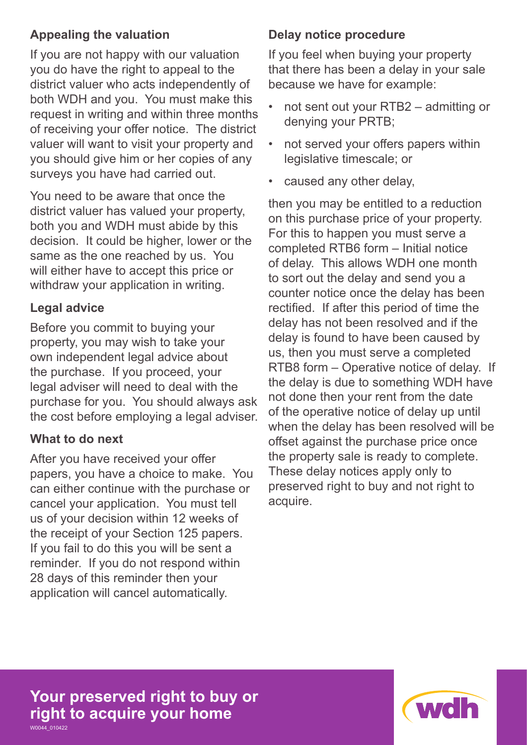# **Appealing the valuation**

If you are not happy with our valuation you do have the right to appeal to the district valuer who acts independently of both WDH and you. You must make this request in writing and within three months of receiving your offer notice. The district valuer will want to visit your property and you should give him or her copies of any surveys you have had carried out.

You need to be aware that once the district valuer has valued your property, both you and WDH must abide by this decision. It could be higher, lower or the same as the one reached by us. You will either have to accept this price or withdraw your application in writing.

# **Legal advice**

Before you commit to buying your property, you may wish to take your own independent legal advice about the purchase. If you proceed, your legal adviser will need to deal with the purchase for you. You should always ask the cost before employing a legal adviser.

# **What to do next**

After you have received your offer papers, you have a choice to make. You can either continue with the purchase or cancel your application. You must tell us of your decision within 12 weeks of the receipt of your Section 125 papers. If you fail to do this you will be sent a reminder. If you do not respond within 28 days of this reminder then your application will cancel automatically.

# **Delay notice procedure**

If you feel when buying your property that there has been a delay in your sale because we have for example:

- not sent out your RTB2 admitting or denying your PRTB;
- not served your offers papers within legislative timescale; or
- caused any other delay,

then you may be entitled to a reduction on this purchase price of your property. For this to happen you must serve a completed RTB6 form – Initial notice of delay. This allows WDH one month to sort out the delay and send you a counter notice once the delay has been rectified. If after this period of time the delay has not been resolved and if the delay is found to have been caused by us, then you must serve a completed RTB8 form – Operative notice of delay. If the delay is due to something WDH have not done then your rent from the date of the operative notice of delay up until when the delay has been resolved will be offset against the purchase price once the property sale is ready to complete. These delay notices apply only to preserved right to buy and not right to acquire.

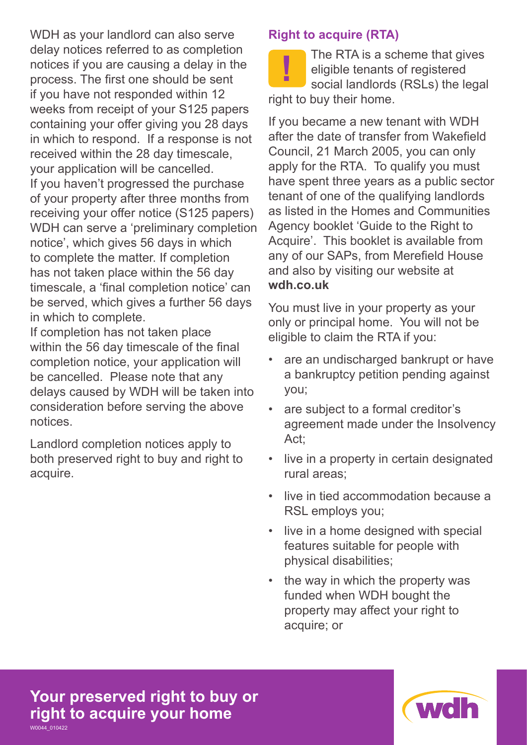WDH as your landlord can also serve delay notices referred to as completion notices if you are causing a delay in the process. The first one should be sent if you have not responded within 12 weeks from receipt of your S125 papers containing your offer giving you 28 days in which to respond. If a response is not received within the 28 day timescale, your application will be cancelled. If you haven't progressed the purchase of your property after three months from receiving your offer notice (S125 papers) WDH can serve a 'preliminary completion notice', which gives 56 days in which to complete the matter. If completion has not taken place within the 56 day timescale, a 'final completion notice' can be served, which gives a further 56 days in which to complete.

If completion has not taken place within the 56 day timescale of the final completion notice, your application will be cancelled. Please note that any delays caused by WDH will be taken into consideration before serving the above notices.

Landlord completion notices apply to both preserved right to buy and right to acquire.

# **Right to acquire (RTA)**

The RTA is a scheme that gives<br>
social landlords (RSLs) the legal<br>
social landlords (RSLs) the legal eligible tenants of registered right to buy their home.

If you became a new tenant with WDH after the date of transfer from Wakefield Council, 21 March 2005, you can only apply for the RTA. To qualify you must have spent three years as a public sector tenant of one of the qualifying landlords as listed in the Homes and Communities Agency booklet 'Guide to the Right to Acquire'. This booklet is available from any of our SAPs, from Merefield House and also by visiting our website at **wdh.co.uk**

You must live in your property as your only or principal home. You will not be eligible to claim the RTA if you:

- are an undischarged bankrupt or have a bankruptcy petition pending against you;
- are subject to a formal creditor's agreement made under the Insolvency Act;
- live in a property in certain designated rural areas;
- live in tied accommodation because a RSL employs you;
- live in a home designed with special features suitable for people with physical disabilities;
- the way in which the property was funded when WDH bought the property may affect your right to acquire; or

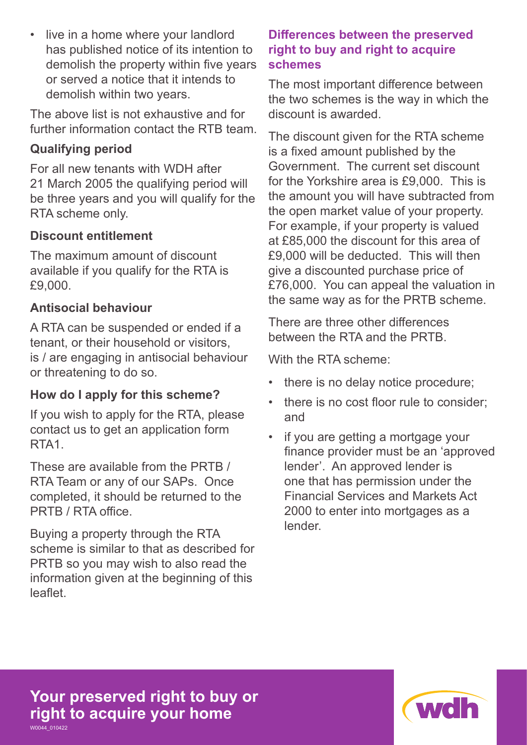• live in a home where your landlord has published notice of its intention to demolish the property within five years or served a notice that it intends to demolish within two years.

The above list is not exhaustive and for further information contact the RTB team.

# **Qualifying period**

For all new tenants with WDH after 21 March 2005 the qualifying period will be three years and you will qualify for the RTA scheme only.

## **Discount entitlement**

The maximum amount of discount available if you qualify for the RTA is £9,000.

## **Antisocial behaviour**

A RTA can be suspended or ended if a tenant, or their household or visitors, is / are engaging in antisocial behaviour or threatening to do so.

# **How do I apply for this scheme?**

If you wish to apply for the RTA, please contact us to get an application form RTA1.

These are available from the PRTB / RTA Team or any of our SAPs. Once completed, it should be returned to the PRTB / RTA office.

Buying a property through the RTA scheme is similar to that as described for PRTB so you may wish to also read the information given at the beginning of this leaflet.

# **Differences between the preserved right to buy and right to acquire schemes**

The most important difference between the two schemes is the way in which the discount is awarded.

The discount given for the RTA scheme is a fixed amount published by the Government. The current set discount for the Yorkshire area is £9,000. This is the amount you will have subtracted from the open market value of your property. For example, if your property is valued at £85,000 the discount for this area of £9,000 will be deducted. This will then give a discounted purchase price of £76,000. You can appeal the valuation in the same way as for the PRTB scheme.

There are three other differences between the RTA and the PRTB.

With the RTA scheme:

- there is no delay notice procedure;
- there is no cost floor rule to consider; and
- if you are getting a mortgage your finance provider must be an 'approved lender'. An approved lender is one that has permission under the Financial Services and Markets Act 2000 to enter into mortgages as a lender.

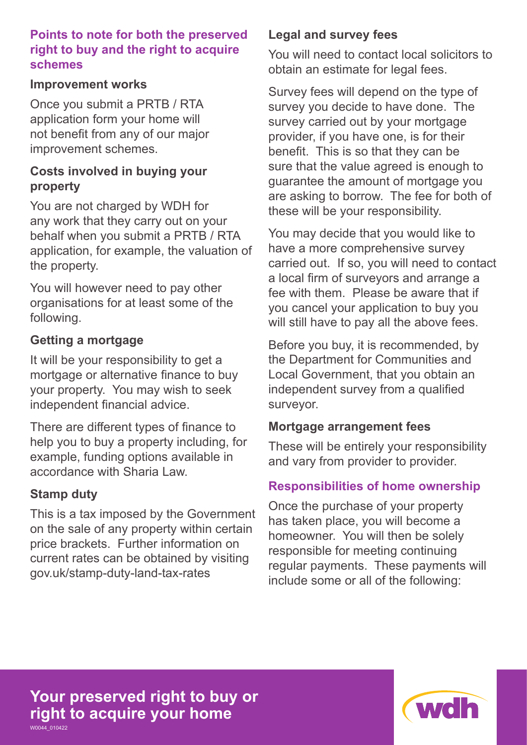#### **Points to note for both the preserved right to buy and the right to acquire schemes**

#### **Improvement works**

Once you submit a PRTB / RTA application form your home will not benefit from any of our major improvement schemes.

# **Costs involved in buying your property**

You are not charged by WDH for any work that they carry out on your behalf when you submit a PRTB / RTA application, for example, the valuation of the property.

You will however need to pay other organisations for at least some of the following.

# **Getting a mortgage**

It will be your responsibility to get a mortgage or alternative finance to buy your property. You may wish to seek independent financial advice.

There are different types of finance to help you to buy a property including, for example, funding options available in accordance with Sharia Law.

#### **Stamp duty**

This is a tax imposed by the Government on the sale of any property within certain price brackets. Further information on current rates can be obtained by visiting gov.uk/stamp-duty-land-tax-rates

# **Legal and survey fees**

You will need to contact local solicitors to obtain an estimate for legal fees.

Survey fees will depend on the type of survey you decide to have done. The survey carried out by your mortgage provider, if you have one, is for their benefit. This is so that they can be sure that the value agreed is enough to guarantee the amount of mortgage you are asking to borrow. The fee for both of these will be your responsibility.

You may decide that you would like to have a more comprehensive survey carried out. If so, you will need to contact a local firm of surveyors and arrange a fee with them. Please be aware that if you cancel your application to buy you will still have to pay all the above fees.

Before you buy, it is recommended, by the Department for Communities and Local Government, that you obtain an independent survey from a qualified surveyor.

#### **Mortgage arrangement fees**

These will be entirely your responsibility and vary from provider to provider.

# **Responsibilities of home ownership**

Once the purchase of your property has taken place, you will become a homeowner. You will then be solely responsible for meeting continuing regular payments. These payments will include some or all of the following:

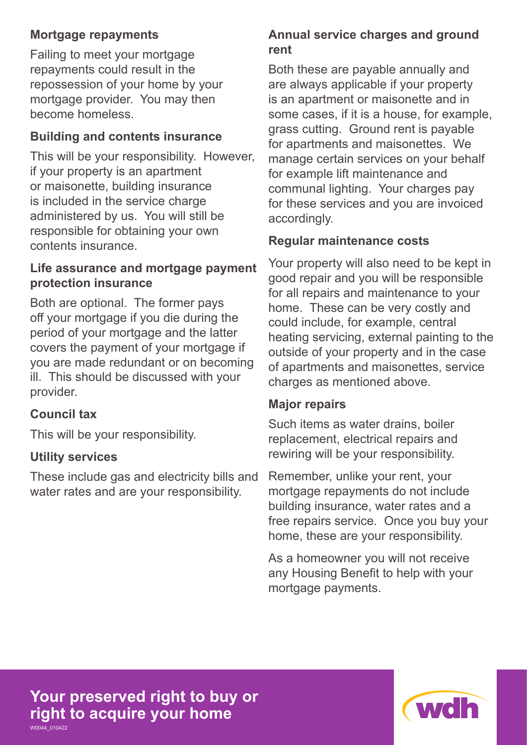# **Mortgage repayments**

Failing to meet your mortgage repayments could result in the repossession of your home by your mortgage provider. You may then become homeless.

# **Building and contents insurance**

This will be your responsibility. However, if your property is an apartment or maisonette, building insurance is included in the service charge administered by us. You will still be responsible for obtaining your own contents insurance.

#### **Life assurance and mortgage payment protection insurance**

Both are optional. The former pays off your mortgage if you die during the period of your mortgage and the latter covers the payment of your mortgage if you are made redundant or on becoming ill. This should be discussed with your provider.

# **Council tax**

This will be your responsibility.

# **Utility services**

These include gas and electricity bills and water rates and are your responsibility.

# **Annual service charges and ground rent**

Both these are payable annually and are always applicable if your property is an apartment or maisonette and in some cases, if it is a house, for example, grass cutting. Ground rent is payable for apartments and maisonettes. We manage certain services on your behalf for example lift maintenance and communal lighting. Your charges pay for these services and you are invoiced accordingly.

# **Regular maintenance costs**

Your property will also need to be kept in good repair and you will be responsible for all repairs and maintenance to your home. These can be very costly and could include, for example, central heating servicing, external painting to the outside of your property and in the case of apartments and maisonettes, service charges as mentioned above.

#### **Major repairs**

Such items as water drains, boiler replacement, electrical repairs and rewiring will be your responsibility.

Remember, unlike your rent, your mortgage repayments do not include building insurance, water rates and a free repairs service. Once you buy your home, these are your responsibility.

As a homeowner you will not receive any Housing Benefit to help with your mortgage payments.

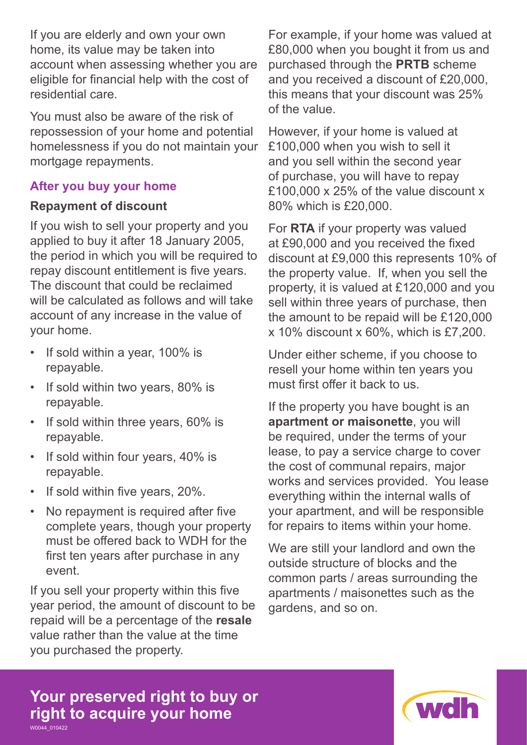If you are elderly and own your own home, its value may be taken into account when assessing whether you are eligible for financial help with the cost of residential care.

You must also be aware of the risk of repossession of your home and potential homelessness if you do not maintain your mortgage repayments.

## **After you buy your home**

## **Repayment of discount**

If you wish to sell your property and you applied to buy it after 18 January 2005, the period in which you will be required to repay discount entitlement is five years. The discount that could be reclaimed will be calculated as follows and will take account of any increase in the value of your home.

- If sold within a year, 100% is repayable.
- If sold within two years, 80% is repayable.
- If sold within three years, 60% is repayable.
- If sold within four years, 40% is repayable.
- If sold within five years, 20%.
- No repayment is required after five complete years, though your property must be offered back to WDH for the first ten years after purchase in any event.

If you sell your property within this five year period, the amount of discount to be repaid will be a percentage of the **resale** value rather than the value at the time you purchased the property.

For example, if your home was valued at £80,000 when you bought it from us and purchased through the **PRTB** scheme and you received a discount of £20,000, this means that your discount was 25% of the value.

However, if your home is valued at £100,000 when you wish to sell it and you sell within the second year of purchase, you will have to repay £100,000 x 25% of the value discount x 80% which is £20,000.

For **RTA** if your property was valued at £90,000 and you received the fixed discount at £9,000 this represents 10% of the property value. If, when you sell the property, it is valued at £120,000 and you sell within three years of purchase, then the amount to be repaid will be £120,000 x 10% discount x 60%, which is £7,200.

Under either scheme, if you choose to resell your home within ten years you must first offer it back to us.

If the property you have bought is an **apartment or maisonette**, you will be required, under the terms of your lease, to pay a service charge to cover the cost of communal repairs, major works and services provided. You lease everything within the internal walls of your apartment, and will be responsible for repairs to items within your home.

We are still your landlord and own the outside structure of blocks and the common parts / areas surrounding the apartments / maisonettes such as the gardens, and so on.

**Your preserved right to buy or right to acquire your home** W0044\_010422